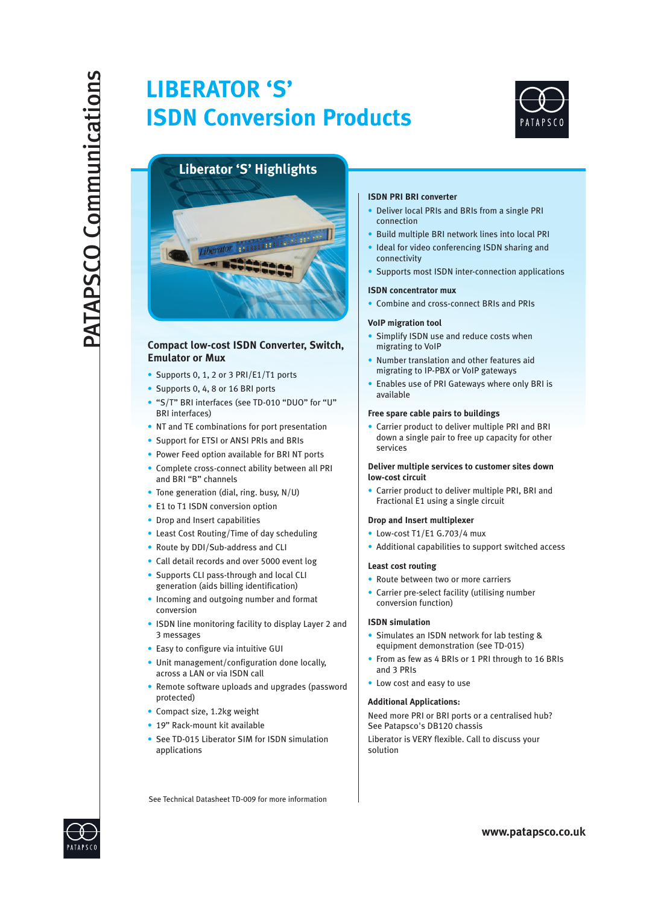# **LIBERATOR 'S' ISDN Conversion Products**



# **Liberator 'S' Highlights**



# **Compact low-cost ISDN Converter, Switch, Emulator or Mux**

- Supports 0, 1, 2 or 3 PRI/E1/T1 ports
- Supports 0, 4, 8 or 16 BRI ports
- "S/T" BRI interfaces (see TD-010 "DUO" for "U" BRI interfaces)
- NT and TE combinations for port presentation
- Support for ETSI or ANSI PRIs and BRIs
- Power Feed option available for BRI NT ports
- Complete cross-connect ability between all PRI and BRI "B" channels
- Tone generation (dial, ring. busy, N/U)
- E1 to T1 ISDN conversion option
- Drop and Insert capabilities
- Least Cost Routing/Time of day scheduling
- Route by DDI/Sub-address and CLI
- Call detail records and over 5000 event log
- Supports CLI pass-through and local CLI generation (aids billing identification)
- Incoming and outgoing number and format conversion
- ISDN line monitoring facility to display Layer 2 and 3 messages
- Easy to configure via intuitive GUI
- Unit management/configuration done locally, across a LAN or via ISDN call
- Remote software uploads and upgrades (password protected)
- Compact size, 1.2kg weight
- 19" Rack-mount kit available
- See TD-015 Liberator SIM for ISDN simulation applications

# **ISDN PRI BRI converter**

- Deliver local PRIs and BRIs from a single PRI connection
- Build multiple BRI network lines into local PRI
- Ideal for video conferencing ISDN sharing and connectivity
- Supports most ISDN inter-connection applications

## **ISDN concentrator mux**

• Combine and cross-connect BRIs and PRIs

## **VoIP migration tool**

- Simplify ISDN use and reduce costs when migrating to VoIP
- Number translation and other features aid migrating to IP-PBX or VoIP gateways
- Enables use of PRI Gateways where only BRI is available

## **Free spare cable pairs to buildings**

• Carrier product to deliver multiple PRI and BRI down a single pair to free up capacity for other services

## **Deliver multiple services to customer sites down low-cost circuit**

• Carrier product to deliver multiple PRI, BRI and Fractional E1 using a single circuit

## **Drop and Insert multiplexer**

- Low-cost T1/E1 G.703/4 mux
- Additional capabilities to support switched access

#### **Least cost routing**

- 
- Route between two or more carriers<br>• Carrier pre-select facility (utilising number conversion function)

## **ISDN simulation**

- Simulates an ISDN network for lab testing & equipment demonstration (see TD-015)
- From as few as 4 BRIs or 1 PRI through to 16 BRIs and 3 PRIs
- Low cost and easy to use

# **Additional Applications:**

Need more PRI or BRI ports or a centralised hub? See Patapsco's DB120 chassis

Liberator is VERY flexible. Call to discuss your solution

See Technical Datasheet TD-009 for more information